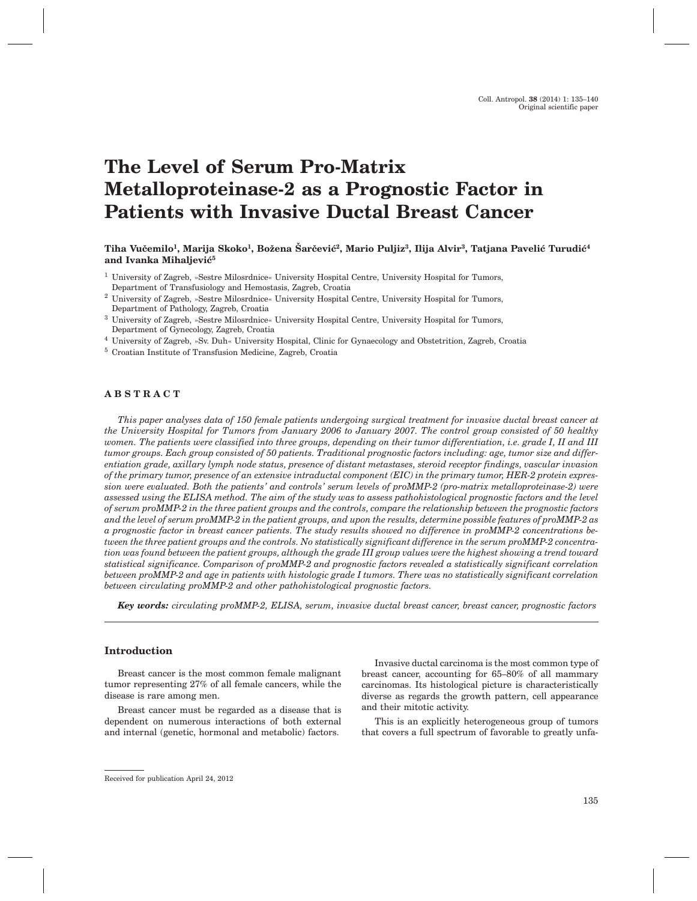# **The Level of Serum Pro-Matrix Metalloproteinase-2 as a Prognostic Factor in Patients with Invasive Ductal Breast Cancer**

Tiha Vučemilo<sup>1</sup>, Marija Skoko<sup>1</sup>, Božena Šarčević<sup>2</sup>, Mario Puljiz<sup>3</sup>, Ilija Alvir<sup>3</sup>, Tatjana Pavelić Turudić<sup>4</sup> and Ivanka Mihaljević<sup>5</sup>

- <sup>1</sup> University of Zagreb, »Sestre Milosrdnice« University Hospital Centre, University Hospital for Tumors, Department of Transfusiology and Hemostasis, Zagreb, Croatia
- <sup>2</sup> University of Zagreb, »Sestre Milosrdnice« University Hospital Centre, University Hospital for Tumors, Department of Pathology, Zagreb, Croatia
- <sup>3</sup> University of Zagreb, »Sestre Milosrdnice« University Hospital Centre, University Hospital for Tumors, Department of Gynecology, Zagreb, Croatia
- <sup>4</sup> University of Zagreb, »Sv. Duh« University Hospital, Clinic for Gynaecology and Obstetrition, Zagreb, Croatia
- <sup>5</sup> Croatian Institute of Transfusion Medicine, Zagreb, Croatia

## **ABSTRACT**

*This paper analyses data of 150 female patients undergoing surgical treatment for invasive ductal breast cancer at the University Hospital for Tumors from January 2006 to January 2007. The control group consisted of 50 healthy women. The patients were classified into three groups, depending on their tumor differentiation, i.e. grade I, II and III tumor groups. Each group consisted of 50 patients. Traditional prognostic factors including: age, tumor size and differentiation grade, axillary lymph node status, presence of distant metastases, steroid receptor findings, vascular invasion of the primary tumor, presence of an extensive intraductal component (EIC) in the primary tumor, HER-2 protein expression were evaluated. Both the patients' and controls' serum levels of proMMP-2 (pro-matrix metalloproteinase-2) were assessed using the ELISA method. The aim of the study was to assess pathohistological prognostic factors and the level of serum proMMP-2 in the three patient groups and the controls, compare the relationship between the prognostic factors and the level of serum proMMP-2 in the patient groups, and upon the results, determine possible features of proMMP-2 as a prognostic factor in breast cancer patients. The study results showed no difference in proMMP-2 concentrations between the three patient groups and the controls. No statistically significant difference in the serum proMMP-2 concentration was found between the patient groups, although the grade III group values were the highest showing a trend toward statistical significance. Comparison of proMMP-2 and prognostic factors revealed a statistically significant correlation between proMMP-2 and age in patients with histologic grade I tumors. There was no statistically significant correlation between circulating proMMP-2 and other pathohistological prognostic factors.*

*Key words: circulating proMMP-2, ELISA, serum, invasive ductal breast cancer, breast cancer, prognostic factors*

# **Introduction**

Breast cancer is the most common female malignant tumor representing 27% of all female cancers, while the disease is rare among men.

Breast cancer must be regarded as a disease that is dependent on numerous interactions of both external and internal (genetic, hormonal and metabolic) factors.

Invasive ductal carcinoma is the most common type of breast cancer, accounting for 65–80% of all mammary carcinomas. Its histological picture is characteristically diverse as regards the growth pattern, cell appearance and their mitotic activity.

This is an explicitly heterogeneous group of tumors that covers a full spectrum of favorable to greatly unfa-

Received for publication April 24, 2012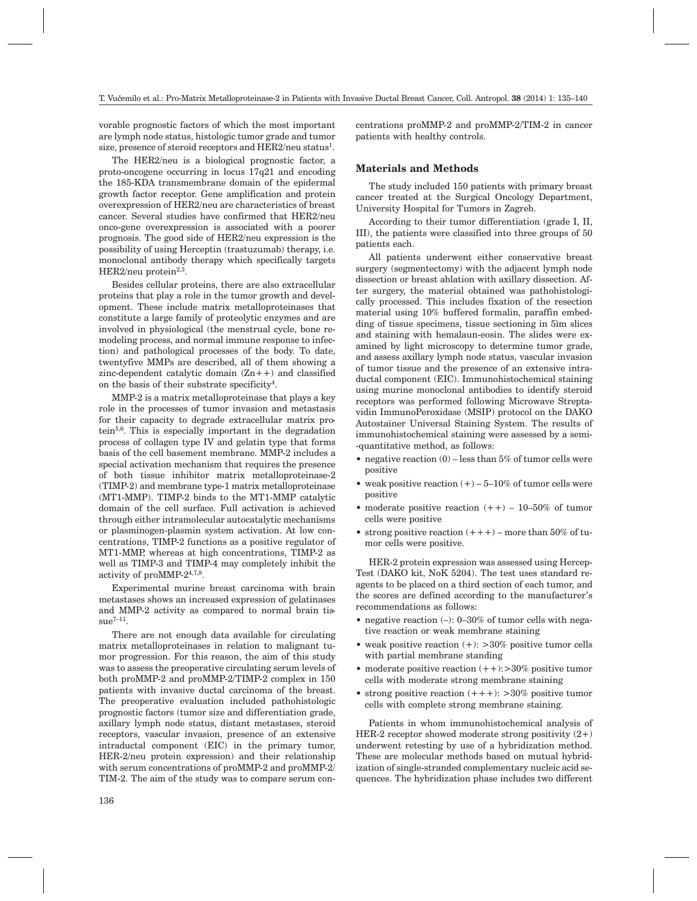vorable prognostic factors of which the most important are lymph node status, histologic tumor grade and tumor size, presence of steroid receptors and HER2/neu status<sup>1</sup>.

The HER2/neu is a biological prognostic factor, a proto-oncogene occurring in locus 17q21 and encoding the 185-KDA transmembrane domain of the epidermal growth factor receptor. Gene amplification and protein overexpression of HER2/neu are characteristics of breast cancer. Several studies have confirmed that HER2/neu onco-gene overexpression is associated with a poorer prognosis. The good side of HER2/neu expression is the possibility of using Herceptin (trastuzumab) therapy, i.e. monoclonal antibody therapy which specifically targets HER2/neu protein $^{2,3}$ .

Besides cellular proteins, there are also extracellular proteins that play a role in the tumor growth and development. These include matrix metalloproteinases that constitute a large family of proteolytic enzymes and are involved in physiological (the menstrual cycle, bone remodeling process, and normal immune response to infection) and pathological processes of the body. To date, twentyfive MMPs are described, all of them showing a zinc-dependent catalytic domain  $(Zn + +)$  and classified on the basis of their substrate specificity4.

MMP-2 is a matrix metalloproteinase that plays a key role in the processes of tumor invasion and metastasis for their capacity to degrade extracellular matrix protein $5,6$ . This is especially important in the degradation process of collagen type IV and gelatin type that forms basis of the cell basement membrane. MMP-2 includes a special activation mechanism that requires the presence of both tissue inhibitor matrix metalloproteinase-2 (TIMP-2) and membrane type-1 matrix metalloproteinase (MT1-MMP). TIMP-2 binds to the MT1-MMP catalytic domain of the cell surface. Full activation is achieved through either intramolecular autocatalytic mechanisms or plasminogen-plasmin system activation. At low concentrations, TIMP-2 functions as a positive regulator of MT1-MMP, whereas at high concentrations, TIMP-2 as well as TIMP-3 and TIMP-4 may completely inhibit the activity of proMMP-24,7,8.

Experimental murine breast carcinoma with brain metastases shows an increased expression of gelatinases and MMP-2 activity as compared to normal brain tis- $\text{su}e^{7-11}$ .

There are not enough data available for circulating matrix metalloproteinases in relation to malignant tumor progression. For this reason, the aim of this study was to assess the preoperative circulating serum levels of both proMMP-2 and proMMP-2/TIMP-2 complex in 150 patients with invasive ductal carcinoma of the breast. The preoperative evaluation included pathohistologic prognostic factors (tumor size and differentiation grade, axillary lymph node status, distant metastases, steroid receptors, vascular invasion, presence of an extensive intraductal component (EIC) in the primary tumor, HER-2/neu protein expression) and their relationship with serum concentrations of proMMP-2 and proMMP-2/ TIM-2. The aim of the study was to compare serum concentrations proMMP-2 and proMMP-2/TIM-2 in cancer patients with healthy controls.

### **Materials and Methods**

The study included 150 patients with primary breast cancer treated at the Surgical Oncology Department, University Hospital for Tumors in Zagreb.

According to their tumor differentiation (grade I, II, III), the patients were classified into three groups of 50 patients each.

All patients underwent either conservative breast surgery (segmentectomy) with the adjacent lymph node dissection or breast ablation with axillary dissection. After surgery, the material obtained was pathohistologically processed. This includes fixation of the resection material using 10% buffered formalin, paraffin embedding of tissue specimens, tissue sectioning in 5ìm slices and staining with hemalaun-eosin. The slides were examined by light microscopy to determine tumor grade, and assess axillary lymph node status, vascular invasion of tumor tissue and the presence of an extensive intraductal component (EIC). Immunohistochemical staining using murine monoclonal antibodies to identify steroid receptors was performed following Microwave Streptavidin ImmunoPeroxidase (MSIP) protocol on the DAKO Autostainer Universal Staining System. The results of immunohistochemical staining were assessed by a semi- -quantitative method, as follows:

- negative reaction  $(0)$  less than 5% of tumor cells were positive
- weak positive reaction  $(+)$  5–10% of tumor cells were positive
- moderate positive reaction  $(++)$  10–50% of tumor cells were positive
- strong positive reaction  $(+++)$  more than 50% of tumor cells were positive.

HER-2 protein expression was assessed using Hercep-Test (DAKO kit, NoK 5204). The test uses standard reagents to be placed on a third section of each tumor, and the scores are defined according to the manufacturer's recommendations as follows:

- negative reaction (-): 0-30% of tumor cells with negative reaction or weak membrane staining
- weak positive reaction  $(+):$  >30% positive tumor cells with partial membrane standing
- moderate positive reaction  $(++)$ :>30% positive tumor cells with moderate strong membrane staining
- strong positive reaction  $(+++)$ : >30% positive tumor cells with complete strong membrane staining.

Patients in whom immunohistochemical analysis of HER-2 receptor showed moderate strong positivity  $(2+)$ underwent retesting by use of a hybridization method. These are molecular methods based on mutual hybridization of single-stranded complementary nucleic acid sequences. The hybridization phase includes two different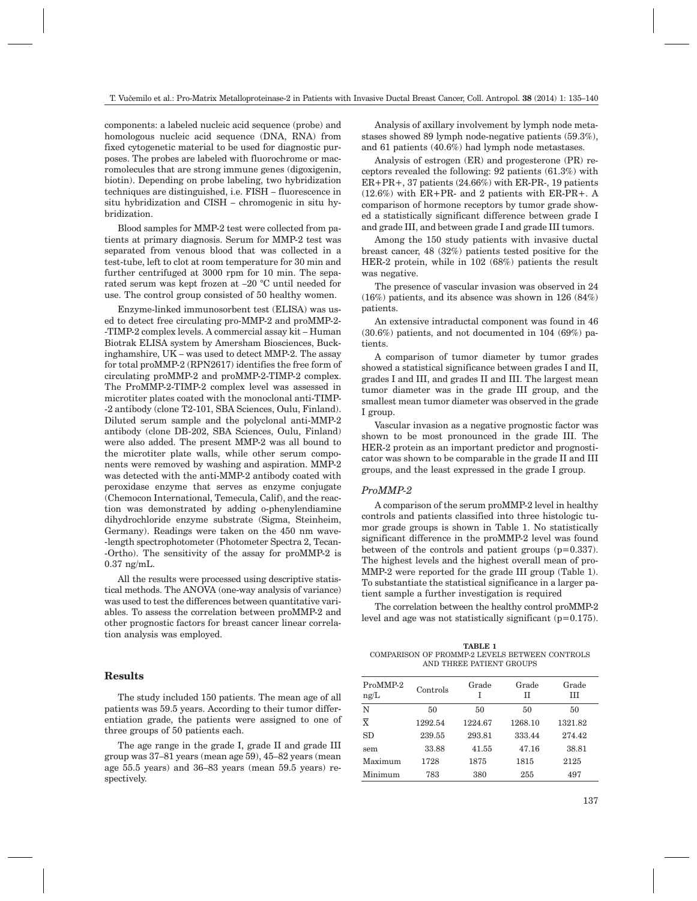components: a labeled nucleic acid sequence (probe) and homologous nucleic acid sequence (DNA, RNA) from fixed cytogenetic material to be used for diagnostic purposes. The probes are labeled with fluorochrome or macromolecules that are strong immune genes (digoxigenin, biotin). Depending on probe labeling, two hybridization techniques are distinguished, i.e. FISH – fluorescence in situ hybridization and CISH – chromogenic in situ hybridization.

Blood samples for MMP-2 test were collected from patients at primary diagnosis. Serum for MMP-2 test was separated from venous blood that was collected in a test-tube, left to clot at room temperature for 30 min and further centrifuged at 3000 rpm for 10 min. The separated serum was kept frozen at –20 °C until needed for use. The control group consisted of 50 healthy women.

Enzyme-linked immunosorbent test (ELISA) was used to detect free circulating pro-MMP-2 and proMMP-2- -TIMP-2 complex levels. A commercial assay kit – Human Biotrak ELISA system by Amersham Biosciences, Buckinghamshire, UK – was used to detect MMP-2. The assay for total proMMP-2 (RPN2617) identifies the free form of circulating proMMP-2 and proMMP-2-TIMP-2 complex. The ProMMP-2-TIMP-2 complex level was assessed in microtiter plates coated with the monoclonal anti-TIMP- -2 antibody (clone T2-101, SBA Sciences, Oulu, Finland). Diluted serum sample and the polyclonal anti-MMP-2 antibody (clone DB-202, SBA Sciences, Oulu, Finland) were also added. The present MMP-2 was all bound to the microtiter plate walls, while other serum components were removed by washing and aspiration. MMP-2 was detected with the anti-MMP-2 antibody coated with peroxidase enzyme that serves as enzyme conjugate (Chemocon International, Temecula, Calif), and the reaction was demonstrated by adding o-phenylendiamine dihydrochloride enzyme substrate (Sigma, Steinheim, Germany). Readings were taken on the 450 nm wave- -length spectrophotometer (Photometer Spectra 2, Tecan- -Ortho). The sensitivity of the assay for proMMP-2 is 0.37 ng/mL.

All the results were processed using descriptive statistical methods. The ANOVA (one-way analysis of variance) was used to test the differences between quantitative variables. To assess the correlation between proMMP-2 and other prognostic factors for breast cancer linear correlation analysis was employed.

## **Results**

The study included 150 patients. The mean age of all patients was 59.5 years. According to their tumor differentiation grade, the patients were assigned to one of three groups of 50 patients each.

The age range in the grade I, grade II and grade III group was 37–81 years (mean age 59), 45–82 years (mean age 55.5 years) and 36–83 years (mean 59.5 years) respectively.

Analysis of axillary involvement by lymph node metastases showed 89 lymph node-negative patients (59.3%), and 61 patients (40.6%) had lymph node metastases.

Analysis of estrogen (ER) and progesterone (PR) receptors revealed the following: 92 patients (61.3%) with ER+PR+, 37 patients (24.66%) with ER-PR-, 19 patients (12.6%) with ER+PR- and 2 patients with ER-PR+. A comparison of hormone receptors by tumor grade showed a statistically significant difference between grade I and grade III, and between grade I and grade III tumors.

Among the 150 study patients with invasive ductal breast cancer, 48 (32%) patients tested positive for the HER-2 protein, while in 102 (68%) patients the result was negative.

The presence of vascular invasion was observed in 24 (16%) patients, and its absence was shown in 126 (84%) patients.

An extensive intraductal component was found in 46 (30.6%) patients, and not documented in 104 (69%) patients.

A comparison of tumor diameter by tumor grades showed a statistical significance between grades I and II, grades I and III, and grades II and III. The largest mean tumor diameter was in the grade III group, and the smallest mean tumor diameter was observed in the grade I group.

Vascular invasion as a negative prognostic factor was shown to be most pronounced in the grade III. The HER-2 protein as an important predictor and prognosticator was shown to be comparable in the grade II and III groups, and the least expressed in the grade I group.

#### *ProMMP-2*

A comparison of the serum proMMP-2 level in healthy controls and patients classified into three histologic tumor grade groups is shown in Table 1. No statistically significant difference in the proMMP-2 level was found between of the controls and patient groups  $(p=0.337)$ . The highest levels and the highest overall mean of pro-MMP-2 were reported for the grade III group (Table 1). To substantiate the statistical significance in a larger patient sample a further investigation is required

The correlation between the healthy control proMMP-2 level and age was not statistically significant (p=0.175).

**TABLE 1** COMPARISON OF PROMMP-2 LEVELS BETWEEN CONTROLS AND THREE PATIENT GROUPS

| ProMMP-2<br>ng/L        | Controls | Grade<br>I | Grade<br>Н | Grade<br>HН |
|-------------------------|----------|------------|------------|-------------|
| N                       | 50       | 50         | 50         | 50          |
| $\overline{\mathbf{x}}$ | 1292.54  | 1224.67    | 1268.10    | 1321.82     |
| <b>SD</b>               | 239.55   | 293.81     | 333.44     | 274.42      |
| sem                     | 33.88    | 41.55      | 47.16      | 38.81       |
| Maximum                 | 1728     | 1875       | 1815       | 2125        |
| Minimum                 | 783      | 380        | 255        | 497         |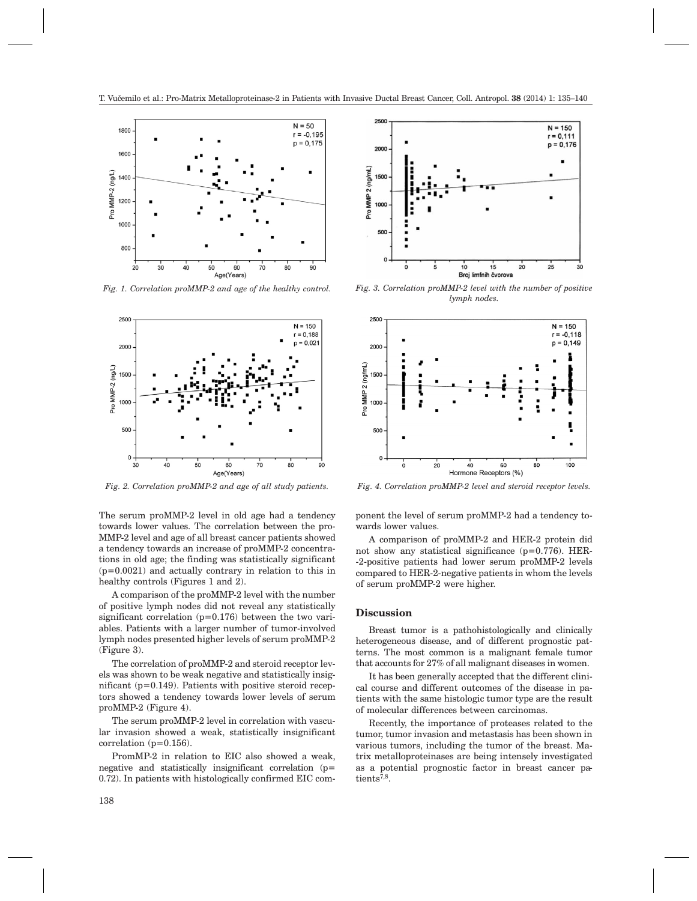

*Fig. 1. Correlation proMMP-2 and age of the healthy control.*



The serum proMMP-2 level in old age had a tendency towards lower values. The correlation between the pro-MMP-2 level and age of all breast cancer patients showed a tendency towards an increase of proMMP-2 concentrations in old age; the finding was statistically significant  $(p=0.0021)$  and actually contrary in relation to this in healthy controls (Figures 1 and 2).

A comparison of the proMMP-2 level with the number of positive lymph nodes did not reveal any statistically significant correlation  $(p=0.176)$  between the two variables. Patients with a larger number of tumor-involved lymph nodes presented higher levels of serum proMMP-2 (Figure 3).

The correlation of proMMP-2 and steroid receptor levels was shown to be weak negative and statistically insignificant  $(p=0.149)$ . Patients with positive steroid receptors showed a tendency towards lower levels of serum proMMP-2 (Figure 4).

The serum proMMP-2 level in correlation with vascular invasion showed a weak, statistically insignificant correlation  $(p=0.156)$ .

PromMP-2 in relation to EIC also showed a weak, negative and statistically insignificant correlation (p= 0.72). In patients with histologically confirmed EIC com-



*Fig. 3. Correlation proMMP-2 level with the number of positive lymph nodes.*



*Fig. 2. Correlation proMMP-2 and age of all study patients. Fig. 4. Correlation proMMP-2 level and steroid receptor levels.*

ponent the level of serum proMMP-2 had a tendency towards lower values.

A comparison of proMMP-2 and HER-2 protein did not show any statistical significance (p=0.776). HER- -2-positive patients had lower serum proMMP-2 levels compared to HER-2-negative patients in whom the levels of serum proMMP-2 were higher.

#### **Discussion**

Breast tumor is a pathohistologically and clinically heterogeneous disease, and of different prognostic patterns. The most common is a malignant female tumor that accounts for 27% of all malignant diseases in women.

It has been generally accepted that the different clinical course and different outcomes of the disease in patients with the same histologic tumor type are the result of molecular differences between carcinomas.

Recently, the importance of proteases related to the tumor, tumor invasion and metastasis has been shown in various tumors, including the tumor of the breast. Matrix metalloproteinases are being intensely investigated as a potential prognostic factor in breast cancer patients<sup>7,8</sup>.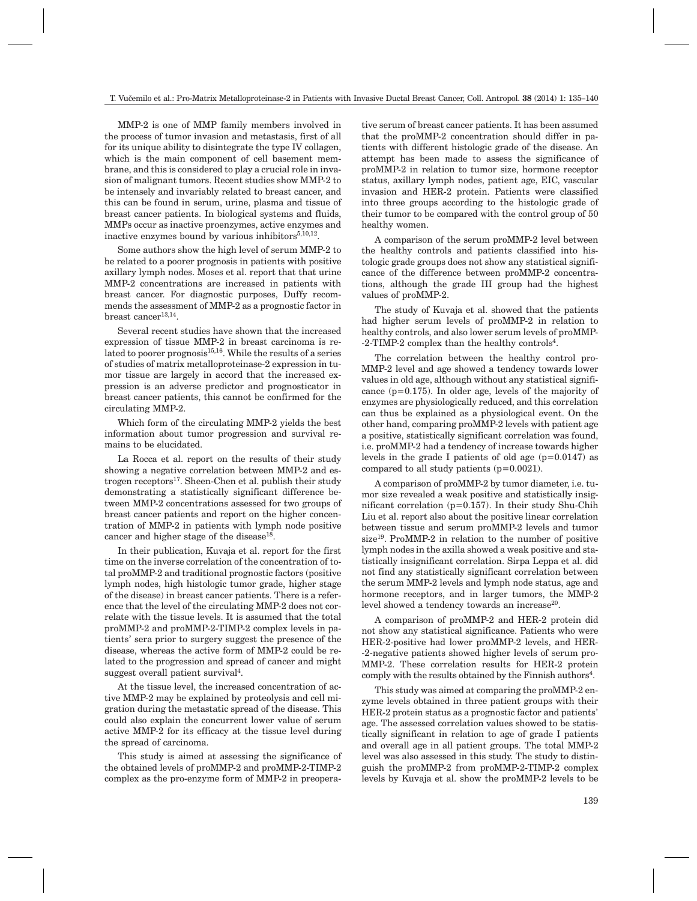MMP-2 is one of MMP family members involved in the process of tumor invasion and metastasis, first of all for its unique ability to disintegrate the type IV collagen, which is the main component of cell basement membrane, and this is considered to play a crucial role in invasion of malignant tumors. Recent studies show MMP-2 to be intensely and invariably related to breast cancer, and this can be found in serum, urine, plasma and tissue of breast cancer patients. In biological systems and fluids, MMPs occur as inactive proenzymes, active enzymes and inactive enzymes bound by various inhibitors $5,10,12$ .

Some authors show the high level of serum MMP-2 to be related to a poorer prognosis in patients with positive axillary lymph nodes. Moses et al. report that that urine MMP-2 concentrations are increased in patients with breast cancer. For diagnostic purposes, Duffy recommends the assessment of MMP-2 as a prognostic factor in  $break cancer<sup>13,14</sup>$ .

Several recent studies have shown that the increased expression of tissue MMP-2 in breast carcinoma is related to poorer prognosis $15,16$ . While the results of a series of studies of matrix metalloproteinase-2 expression in tumor tissue are largely in accord that the increased expression is an adverse predictor and prognosticator in breast cancer patients, this cannot be confirmed for the circulating MMP-2.

Which form of the circulating MMP-2 yields the best information about tumor progression and survival remains to be elucidated.

La Rocca et al. report on the results of their study showing a negative correlation between MMP-2 and estrogen receptors<sup>17</sup>. Sheen-Chen et al. publish their study demonstrating a statistically significant difference between MMP-2 concentrations assessed for two groups of breast cancer patients and report on the higher concentration of MMP-2 in patients with lymph node positive cancer and higher stage of the disease<sup>18</sup>.

In their publication, Kuvaja et al. report for the first time on the inverse correlation of the concentration of total proMMP-2 and traditional prognostic factors (positive lymph nodes, high histologic tumor grade, higher stage of the disease) in breast cancer patients. There is a reference that the level of the circulating MMP-2 does not correlate with the tissue levels. It is assumed that the total proMMP-2 and proMMP-2-TIMP-2 complex levels in patients' sera prior to surgery suggest the presence of the disease, whereas the active form of MMP-2 could be related to the progression and spread of cancer and might suggest overall patient survival<sup>4</sup>.

At the tissue level, the increased concentration of active MMP-2 may be explained by proteolysis and cell migration during the metastatic spread of the disease. This could also explain the concurrent lower value of serum active MMP-2 for its efficacy at the tissue level during the spread of carcinoma.

This study is aimed at assessing the significance of the obtained levels of proMMP-2 and proMMP-2-TIMP-2 complex as the pro-enzyme form of MMP-2 in preoperative serum of breast cancer patients. It has been assumed that the proMMP-2 concentration should differ in patients with different histologic grade of the disease. An attempt has been made to assess the significance of proMMP-2 in relation to tumor size, hormone receptor status, axillary lymph nodes, patient age, EIC, vascular invasion and HER-2 protein. Patients were classified into three groups according to the histologic grade of their tumor to be compared with the control group of 50 healthy women.

A comparison of the serum proMMP-2 level between the healthy controls and patients classified into histologic grade groups does not show any statistical significance of the difference between proMMP-2 concentrations, although the grade III group had the highest values of proMMP-2.

The study of Kuvaja et al. showed that the patients had higher serum levels of proMMP-2 in relation to healthy controls, and also lower serum levels of proMMP- -2-TIMP-2 complex than the healthy controls<sup>4</sup>.

The correlation between the healthy control pro-MMP-2 level and age showed a tendency towards lower values in old age, although without any statistical significance (p=0.175). In older age, levels of the majority of enzymes are physiologically reduced, and this correlation can thus be explained as a physiological event. On the other hand, comparing proMMP-2 levels with patient age a positive, statistically significant correlation was found, i.e. proMMP-2 had a tendency of increase towards higher levels in the grade I patients of old age  $(p=0.0147)$  as compared to all study patients (p=0.0021).

A comparison of proMMP-2 by tumor diameter, i.e. tumor size revealed a weak positive and statistically insignificant correlation (p=0.157). In their study Shu-Chih Liu et al. report also about the positive linear correlation between tissue and serum proMMP-2 levels and tumor  $size<sup>19</sup>$ . ProMMP-2 in relation to the number of positive lymph nodes in the axilla showed a weak positive and statistically insignificant correlation. Sirpa Leppa et al. did not find any statistically significant correlation between the serum MMP-2 levels and lymph node status, age and hormone receptors, and in larger tumors, the MMP-2 level showed a tendency towards an increase<sup>20</sup>.

A comparison of proMMP-2 and HER-2 protein did not show any statistical significance. Patients who were HER-2-positive had lower proMMP-2 levels, and HER- -2-negative patients showed higher levels of serum pro-MMP-2. These correlation results for HER-2 protein comply with the results obtained by the Finnish authors<sup>4</sup>.

This study was aimed at comparing the proMMP-2 enzyme levels obtained in three patient groups with their HER-2 protein status as a prognostic factor and patients' age. The assessed correlation values showed to be statistically significant in relation to age of grade I patients and overall age in all patient groups. The total MMP-2 level was also assessed in this study. The study to distinguish the proMMP-2 from proMMP-2-TIMP-2 complex levels by Kuvaja et al. show the proMMP-2 levels to be